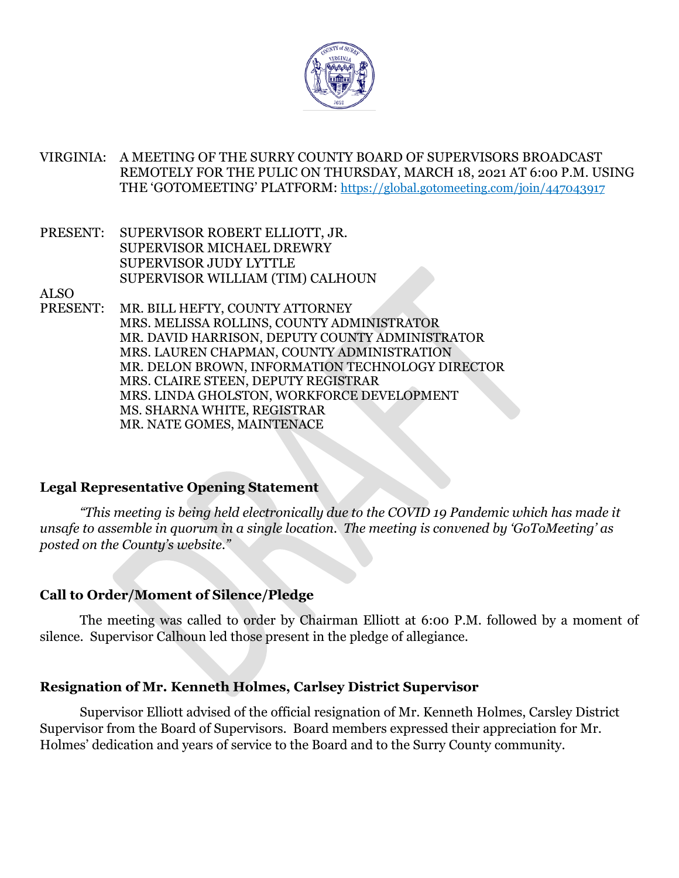

VIRGINIA: A MEETING OF THE SURRY COUNTY BOARD OF SUPERVISORS BROADCAST REMOTELY FOR THE PULIC ON THURSDAY, MARCH 18, 2021 AT 6:00 P.M. USING THE 'GOTOMEETING' PLATFORM: https://global.gotomeeting.com/join/447043917

PRESENT: SUPERVISOR ROBERT ELLIOTT, JR. SUPERVISOR MICHAEL DREWRY SUPERVISOR JUDY LYTTLE SUPERVISOR WILLIAM (TIM) CALHOUN

ALSO

PRESENT: MR. BILL HEFTY, COUNTY ATTORNEY MRS. MELISSA ROLLINS, COUNTY ADMINISTRATOR MR. DAVID HARRISON, DEPUTY COUNTY ADMINISTRATOR MRS. LAUREN CHAPMAN, COUNTY ADMINISTRATION MR. DELON BROWN, INFORMATION TECHNOLOGY DIRECTOR MRS. CLAIRE STEEN, DEPUTY REGISTRAR MRS. LINDA GHOLSTON, WORKFORCE DEVELOPMENT MS. SHARNA WHITE, REGISTRAR MR. NATE GOMES, MAINTENACE

## **Legal Representative Opening Statement**

*"This meeting is being held electronically due to the COVID 19 Pandemic which has made it unsafe to assemble in quorum in a single location. The meeting is convened by 'GoToMeeting' as posted on the County's website."* 

## **Call to Order/Moment of Silence/Pledge**

The meeting was called to order by Chairman Elliott at 6:00 P.M. followed by a moment of silence. Supervisor Calhoun led those present in the pledge of allegiance.

## **Resignation of Mr. Kenneth Holmes, Carlsey District Supervisor**

Supervisor Elliott advised of the official resignation of Mr. Kenneth Holmes, Carsley District Supervisor from the Board of Supervisors. Board members expressed their appreciation for Mr. Holmes' dedication and years of service to the Board and to the Surry County community.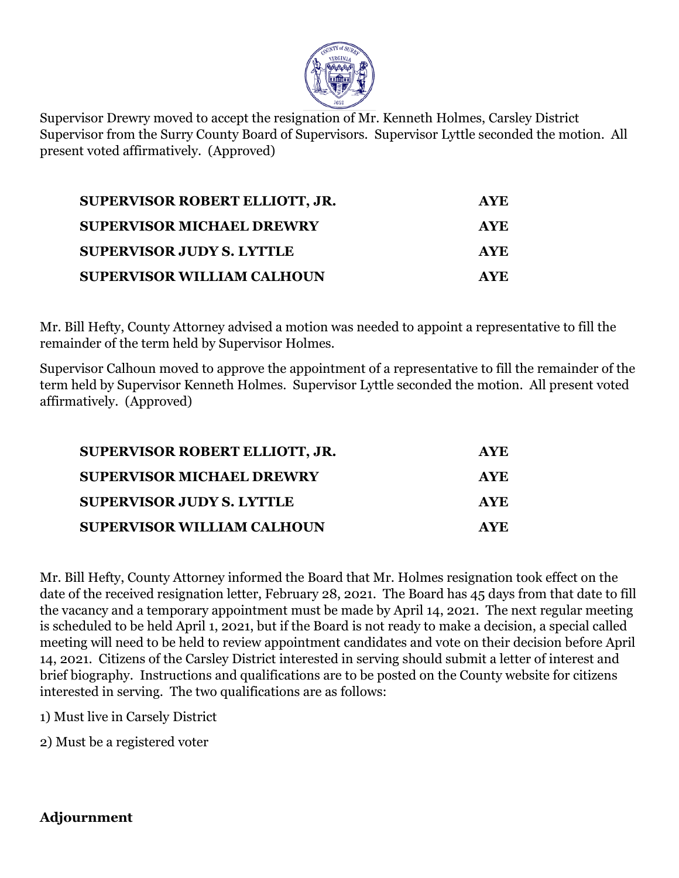

Supervisor Drewry moved to accept the resignation of Mr. Kenneth Holmes, Carsley District Supervisor from the Surry County Board of Supervisors. Supervisor Lyttle seconded the motion. All present voted affirmatively. (Approved)

| <b>SUPERVISOR ROBERT ELLIOTT, JR.</b> | <b>AYE</b> |
|---------------------------------------|------------|
| <b>SUPERVISOR MICHAEL DREWRY</b>      | AYE.       |
| <b>SUPERVISOR JUDY S. LYTTLE</b>      | AYE.       |
| <b>SUPERVISOR WILLIAM CALHOUN</b>     | AYE.       |

Mr. Bill Hefty, County Attorney advised a motion was needed to appoint a representative to fill the remainder of the term held by Supervisor Holmes.

Supervisor Calhoun moved to approve the appointment of a representative to fill the remainder of the term held by Supervisor Kenneth Holmes. Supervisor Lyttle seconded the motion. All present voted affirmatively. (Approved)

| <b>SUPERVISOR ROBERT ELLIOTT, JR.</b> | <b>AYE</b> |
|---------------------------------------|------------|
| <b>SUPERVISOR MICHAEL DREWRY</b>      | <b>AYE</b> |
| <b>SUPERVISOR JUDY S. LYTTLE</b>      | AYE.       |
| <b>SUPERVISOR WILLIAM CALHOUN</b>     | AYE.       |

Mr. Bill Hefty, County Attorney informed the Board that Mr. Holmes resignation took effect on the date of the received resignation letter, February 28, 2021. The Board has 45 days from that date to fill the vacancy and a temporary appointment must be made by April 14, 2021. The next regular meeting is scheduled to be held April 1, 2021, but if the Board is not ready to make a decision, a special called meeting will need to be held to review appointment candidates and vote on their decision before April 14, 2021. Citizens of the Carsley District interested in serving should submit a letter of interest and brief biography. Instructions and qualifications are to be posted on the County website for citizens interested in serving. The two qualifications are as follows:

1) Must live in Carsely District

2) Must be a registered voter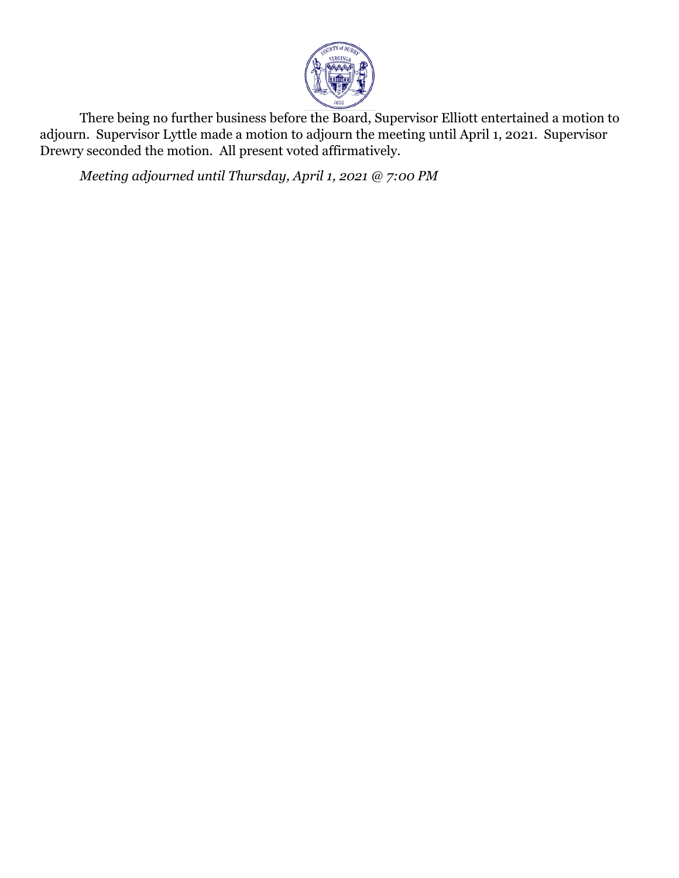

There being no further business before the Board, Supervisor Elliott entertained a motion to adjourn. Supervisor Lyttle made a motion to adjourn the meeting until April 1, 2021. Supervisor Drewry seconded the motion. All present voted affirmatively.

*Meeting adjourned until Thursday, April 1, 2021 @ 7:00 PM*